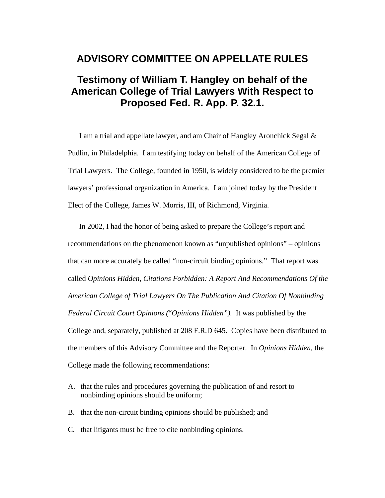## **ADVISORY COMMITTEE ON APPELLATE RULES**

## **Testimony of William T. Hangley on behalf of the American College of Trial Lawyers With Respect to Proposed Fed. R. App. P. 32.1.**

I am a trial and appellate lawyer, and am Chair of Hangley Aronchick Segal & Pudlin, in Philadelphia. I am testifying today on behalf of the American College of Trial Lawyers. The College, founded in 1950, is widely considered to be the premier lawyers' professional organization in America. I am joined today by the President Elect of the College, James W. Morris, III, of Richmond, Virginia.

In 2002, I had the honor of being asked to prepare the College's report and recommendations on the phenomenon known as "unpublished opinions" – opinions that can more accurately be called "non-circuit binding opinions." That report was called *Opinions Hidden, Citations Forbidden: A Report And Recommendations Of the American College of Trial Lawyers On The Publication And Citation Of Nonbinding Federal Circuit Court Opinions (*"*Opinions Hidden").* It was published by the College and, separately, published at 208 F.R.D 645. Copies have been distributed to the members of this Advisory Committee and the Reporter. In *Opinions Hidden,* the College made the following recommendations:

- A. that the rules and procedures governing the publication of and resort to nonbinding opinions should be uniform;
- B. that the non-circuit binding opinions should be published; and
- C. that litigants must be free to cite nonbinding opinions.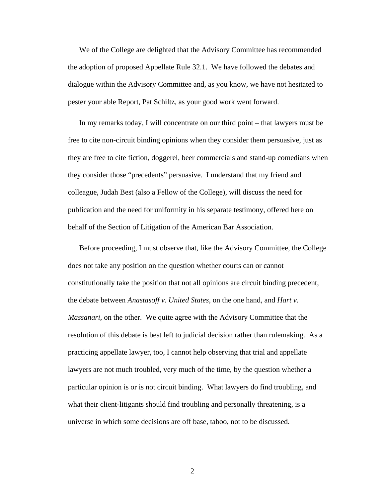We of the College are delighted that the Advisory Committee has recommended the adoption of proposed Appellate Rule 32.1. We have followed the debates and dialogue within the Advisory Committee and, as you know, we have not hesitated to pester your able Report, Pat Schiltz, as your good work went forward.

In my remarks today, I will concentrate on our third point – that lawyers must be free to cite non-circuit binding opinions when they consider them persuasive, just as they are free to cite fiction, doggerel, beer commercials and stand-up comedians when they consider those "precedents" persuasive. I understand that my friend and colleague, Judah Best (also a Fellow of the College), will discuss the need for publication and the need for uniformity in his separate testimony, offered here on behalf of the Section of Litigation of the American Bar Association.

Before proceeding, I must observe that, like the Advisory Committee, the College does not take any position on the question whether courts can or cannot constitutionally take the position that not all opinions are circuit binding precedent, the debate between *Anastasoff v. United States,* on the one hand, and *Hart v. Massanari,* on the other. We quite agree with the Advisory Committee that the resolution of this debate is best left to judicial decision rather than rulemaking. As a practicing appellate lawyer, too, I cannot help observing that trial and appellate lawyers are not much troubled, very much of the time, by the question whether a particular opinion is or is not circuit binding. What lawyers do find troubling, and what their client-litigants should find troubling and personally threatening, is a universe in which some decisions are off base, taboo, not to be discussed.

2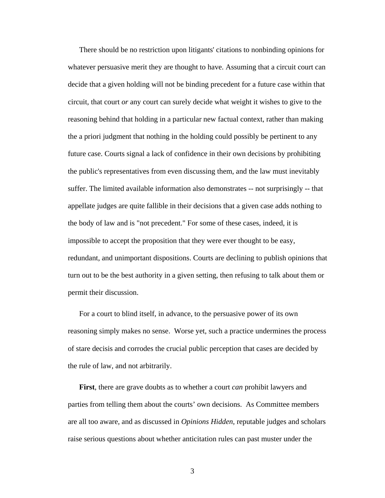There should be no restriction upon litigants' citations to nonbinding opinions for whatever persuasive merit they are thought to have. Assuming that a circuit court can decide that a given holding will not be binding precedent for a future case within that circuit, that court *or* any court can surely decide what weight it wishes to give to the reasoning behind that holding in a particular new factual context, rather than making the a priori judgment that nothing in the holding could possibly be pertinent to any future case. Courts signal a lack of confidence in their own decisions by prohibiting the public's representatives from even discussing them, and the law must inevitably suffer. The limited available information also demonstrates -- not surprisingly -- that appellate judges are quite fallible in their decisions that a given case adds nothing to the body of law and is "not precedent." For some of these cases, indeed, it is impossible to accept the proposition that they were ever thought to be easy, redundant, and unimportant dispositions. Courts are declining to publish opinions that turn out to be the best authority in a given setting, then refusing to talk about them or permit their discussion.

For a court to blind itself, in advance, to the persuasive power of its own reasoning simply makes no sense. Worse yet, such a practice undermines the process of stare decisis and corrodes the crucial public perception that cases are decided by the rule of law, and not arbitrarily.

**First**, there are grave doubts as to whether a court *can* prohibit lawyers and parties from telling them about the courts' own decisions. As Committee members are all too aware, and as discussed in *Opinions Hidden,* reputable judges and scholars raise serious questions about whether anticitation rules can past muster under the

3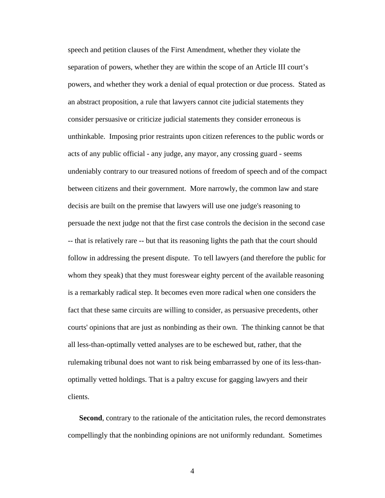speech and petition clauses of the First Amendment, whether they violate the separation of powers, whether they are within the scope of an Article III court's powers, and whether they work a denial of equal protection or due process. Stated as an abstract proposition, a rule that lawyers cannot cite judicial statements they consider persuasive or criticize judicial statements they consider erroneous is unthinkable. Imposing prior restraints upon citizen references to the public words or acts of any public official - any judge, any mayor, any crossing guard - seems undeniably contrary to our treasured notions of freedom of speech and of the compact between citizens and their government. More narrowly, the common law and stare decisis are built on the premise that lawyers will use one judge's reasoning to persuade the next judge not that the first case controls the decision in the second case -- that is relatively rare -- but that its reasoning lights the path that the court should follow in addressing the present dispute. To tell lawyers (and therefore the public for whom they speak) that they must foreswear eighty percent of the available reasoning is a remarkably radical step. It becomes even more radical when one considers the fact that these same circuits are willing to consider, as persuasive precedents, other courts' opinions that are just as nonbinding as their own. The thinking cannot be that all less-than-optimally vetted analyses are to be eschewed but, rather, that the rulemaking tribunal does not want to risk being embarrassed by one of its less-thanoptimally vetted holdings. That is a paltry excuse for gagging lawyers and their clients.

**Second**, contrary to the rationale of the anticitation rules, the record demonstrates compellingly that the nonbinding opinions are not uniformly redundant. Sometimes

4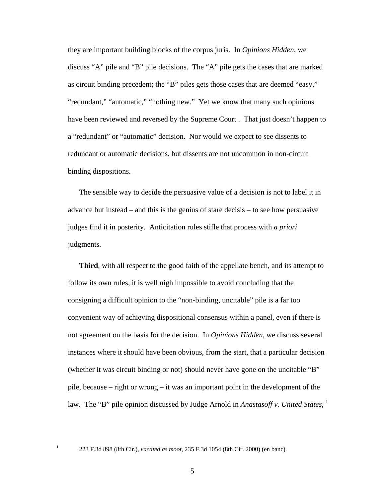they are important building blocks of the corpus juris. In *Opinions Hidden,* we discuss "A" pile and "B" pile decisions. The "A" pile gets the cases that are marked as circuit binding precedent; the "B" piles gets those cases that are deemed "easy," "redundant," "automatic," "nothing new." Yet we know that many such opinions have been reviewed and reversed by the Supreme Court . That just doesn't happen to a "redundant" or "automatic" decision. Nor would we expect to see dissents to redundant or automatic decisions, but dissents are not uncommon in non-circuit binding dispositions.

The sensible way to decide the persuasive value of a decision is not to label it in advance but instead – and this is the genius of stare decisis – to see how persuasive judges find it in posterity. Anticitation rules stifle that process with *a priori* judgments.

**Third**, with all respect to the good faith of the appellate bench, and its attempt to follow its own rules, it is well nigh impossible to avoid concluding that the consigning a difficult opinion to the "non-binding, uncitable" pile is a far too convenient way of achieving dispositional consensus within a panel, even if there is not agreement on the basis for the decision. In *Opinions Hidden,* we discuss several instances where it should have been obvious, from the start, that a particular decision (whether it was circuit binding or not) should never have gone on the uncitable "B" pile, because – right or wrong – it was an important point in the development of the law. The "B" pile opinion discussed by Judge Arnold in *Anastasoff v. United States*, <sup>1</sup>

 $\frac{1}{1}$ 

 <sup>223</sup> F.3d 898 (8th Cir.), *vacated as moot,* 235 F.3d 1054 (8th Cir. 2000) (en banc).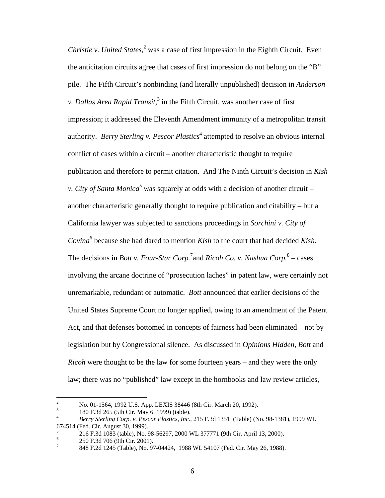*Christie v. United States*,<sup>2</sup> was a case of first impression in the Eighth Circuit. Even the anticitation circuits agree that cases of first impression do not belong on the "B" pile. The Fifth Circuit's nonbinding (and literally unpublished) decision in *Anderson v. Dallas Area Rapid Transit*,<sup>3</sup> in the Fifth Circuit, was another case of first impression; it addressed the Eleventh Amendment immunity of a metropolitan transit authority. *Berry Sterling v. Pescor Plastics*<sup>4</sup> attempted to resolve an obvious internal conflict of cases within a circuit – another characteristic thought to require publication and therefore to permit citation. And The Ninth Circuit's decision in *Kish v. City of Santa Monica*<sup>5</sup> was squarely at odds with a decision of another circuit – another characteristic generally thought to require publication and citability – but a California lawyer was subjected to sanctions proceedings in *Sorchini v. City of Covina*<sup>6</sup> because she had dared to mention *Kish* to the court that had decided *Kish*. The decisions in *Bott v. Four-Star Corp.*<sup>7</sup> and *Ricoh Co. v. Nashua Corp.*<sup>8</sup> – cases involving the arcane doctrine of "prosecution laches" in patent law, were certainly not unremarkable, redundant or automatic. *Bott* announced that earlier decisions of the United States Supreme Court no longer applied, owing to an amendment of the Patent Act, and that defenses bottomed in concepts of fairness had been eliminated – not by legislation but by Congressional silence. As discussed in *Opinions Hidden, Bott* and *Ricoh* were thought to be the law for some fourteen years – and they were the only law; there was no "published" law except in the hornbooks and law review articles,

 $\frac{1}{2}$ No. 01-1564, 1992 U.S. App. LEXIS 38446 (8th Cir. March 20, 1992).

<sup>3</sup> <sup>3</sup> 180 F.3d 265 (5th Cir. May 6, 1999) (table).

<sup>4</sup> *Berry Sterling Corp. v. Pescor Plastics, Inc.*, 215 F.3d 1351 (Table) (No. 98-1381), 1999 WL 674514 (Fed. Cir. August 30, 1999).

<sup>5</sup> 216 F.3d 1083 (table), No. 98-56297, 2000 WL 377771 (9th Cir. April 13, 2000).

<sup>6</sup> 250 F.3d 706 (9th Cir. 2001).

<sup>7</sup> 848 F.2d 1245 (Table), No. 97-04424, 1988 WL 54107 (Fed. Cir. May 26, 1988).